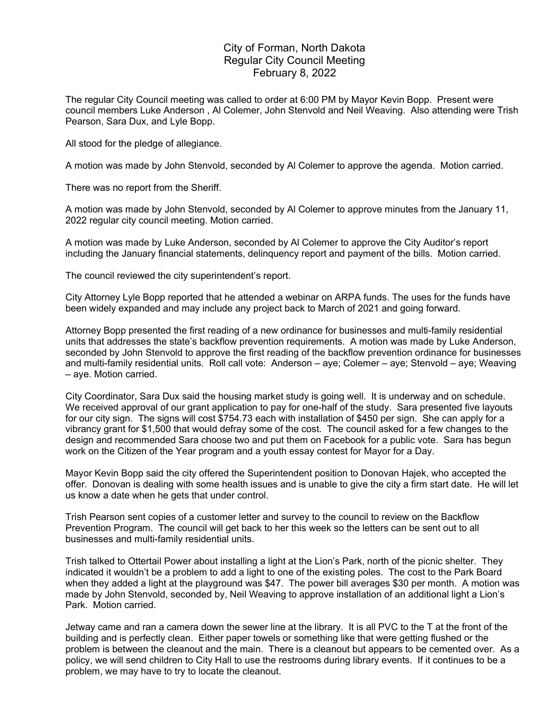## City of Forman, North Dakota Regular City Council Meeting February 8, 2022

The regular City Council meeting was called to order at 6:00 PM by Mayor Kevin Bopp. Present were council members Luke Anderson , Al Colemer, John Stenvold and Neil Weaving. Also attending were Trish Pearson, Sara Dux, and Lyle Bopp.

All stood for the pledge of allegiance.

A motion was made by John Stenvold, seconded by Al Colemer to approve the agenda. Motion carried.

There was no report from the Sheriff.

A motion was made by John Stenvold, seconded by Al Colemer to approve minutes from the January 11, 2022 regular city council meeting. Motion carried.

A motion was made by Luke Anderson, seconded by Al Colemer to approve the City Auditor's report including the January financial statements, delinquency report and payment of the bills. Motion carried.

The council reviewed the city superintendent's report.

City Attorney Lyle Bopp reported that he attended a webinar on ARPA funds. The uses for the funds have been widely expanded and may include any project back to March of 2021 and going forward.

Attorney Bopp presented the first reading of a new ordinance for businesses and multi-family residential units that addresses the state's backflow prevention requirements. A motion was made by Luke Anderson, seconded by John Stenvold to approve the first reading of the backflow prevention ordinance for businesses and multi-family residential units. Roll call vote: Anderson – aye; Colemer – aye; Stenvold – aye; Weaving – aye. Motion carried.

City Coordinator, Sara Dux said the housing market study is going well. It is underway and on schedule. We received approval of our grant application to pay for one-half of the study. Sara presented five layouts for our city sign. The signs will cost \$754.73 each with installation of \$450 per sign. She can apply for a vibrancy grant for \$1,500 that would defray some of the cost. The council asked for a few changes to the design and recommended Sara choose two and put them on Facebook for a public vote. Sara has begun work on the Citizen of the Year program and a youth essay contest for Mayor for a Day.

Mayor Kevin Bopp said the city offered the Superintendent position to Donovan Hajek, who accepted the offer. Donovan is dealing with some health issues and is unable to give the city a firm start date. He will let us know a date when he gets that under control.

Trish Pearson sent copies of a customer letter and survey to the council to review on the Backflow Prevention Program. The council will get back to her this week so the letters can be sent out to all businesses and multi-family residential units.

Trish talked to Ottertail Power about installing a light at the Lion's Park, north of the picnic shelter. They indicated it wouldn't be a problem to add a light to one of the existing poles. The cost to the Park Board when they added a light at the playground was \$47. The power bill averages \$30 per month. A motion was made by John Stenvold, seconded by, Neil Weaving to approve installation of an additional light a Lion's Park. Motion carried.

Jetway came and ran a camera down the sewer line at the library. It is all PVC to the T at the front of the building and is perfectly clean. Either paper towels or something like that were getting flushed or the problem is between the cleanout and the main. There is a cleanout but appears to be cemented over. As a policy, we will send children to City Hall to use the restrooms during library events. If it continues to be a problem, we may have to try to locate the cleanout.